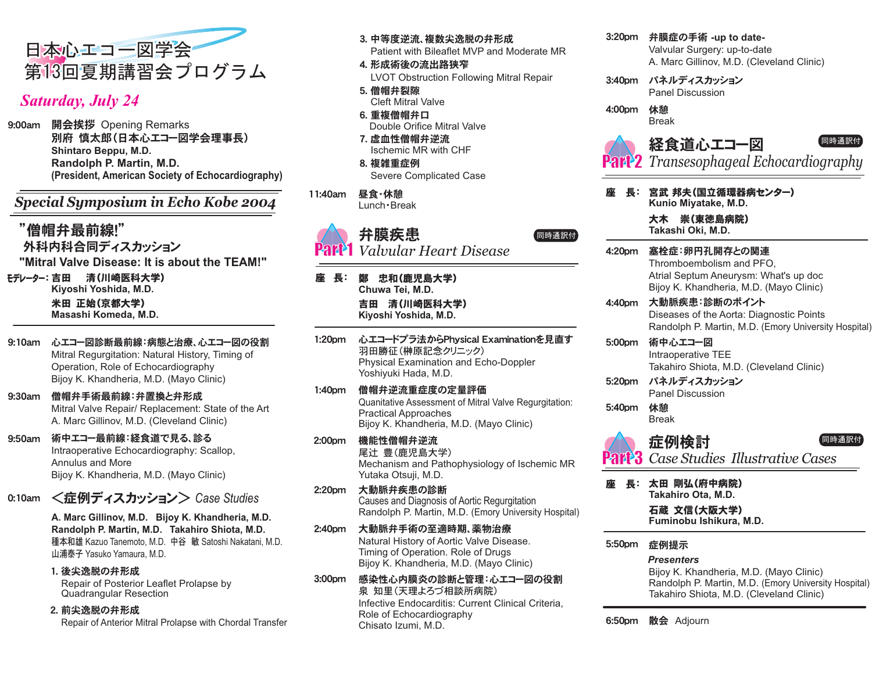

## *Saturday, July 24*

9:00am 開会挨拶 Opening Remarks **Randolph P. Martin, M.D. (President, American Society of Echocardiography)**  別府 慎太郎(日本心エコー図学会理事長) **Shintaro Beppu, M.D.**

*Special Symposium in Echo Kobe 2004*

"僧帽弁最前線!" 外科内科合同ディスカッション モデレーター:吉田 清(川崎医科大学) **Kiyoshi Yoshida, M.D.** 米田 正始(京都大学) **Masashi Komeda, M.D. "Mitral Valve Disease: It is about the TEAM!"**

- 9:10am 心エコー図診断最前線:病態と治療、心エコー図の役割 Mitral Regurgitation: Natural History, Timing of Operation, Role of Echocardiography Bijoy K. Khandheria, M.D. (Mayo Clinic)
- 9:30am 僧帽弁手術最前線:弁置換と弁形成 Mitral Valve Repair/ Replacement: State of the Art A. Marc Gillinov, M.D. (Cleveland Clinic)
- 9:50am 術中エコー最前線:経食道で見る、診る Intraoperative Echocardiography: Scallop, Annulus and More Bijoy K. Khandheria, M.D. (Mayo Clinic)
- 0:10am 〈**症例ディスカッション**〉 Case Studies

**A. Marc Gillinov, M.D. Bijoy K. Khandheria, M.D. Randolph P. Martin, M.D. Takahiro Shiota, M.D.** 種本和雄 Kazuo Tanemoto, M.D. 中谷 敏 Satoshi Nakatani, M.D. 山浦泰子 Yasuko Yamaura, M.D.

1. 後尖逸脱の弁形成 Repair of Posterior Leaflet Prolapse by Quadrangular Resection

2. 前尖逸脱の弁形成 Repair of Anterior Mitral Prolapse with Chordal Transfer 3. 中等度逆流、複数尖逸脱の弁形成

Patient with Bileaflet MVP and Moderate MR

4. 形成術後の流出路狭窄

LVOT Obstruction Following Mitral Repair

- 5. 僧帽弁裂隙 Cleft Mitral Valve
- 6. 重複僧帽弁口 Double Orifice Mitral Valve
- 7. 虚血性僧帽弁逆流 Ischemic MR with CHF
- 8. 複雑重症例 Severe Complicated Case
- 11:40am 昼食·休憩

Lunch · Break

# ༕྄ۛ หᤨㅢ⸶ઃ

**Part 1** *Valvular Heart Disease*

- 座 長:鄭 忠和(鹿児島大学) **Chuwa Tei, M.D.** 吉田 清(川崎医科大学) **Kiyoshi Yoshida, M.D.**
- 1:20pm 心エコードプラ法からPhysical Examinationを見直す 羽田勝征 (榊原記念クリニック) Physical Examination and Echo-Doppler Yoshiyuki Hada, M.D.
- 1:40pm 僧帽弁逆流重症度の定量評価 Quanitative Assessment of Mitral Valve Regurgitation: Practical Approaches Bijoy K. Khandheria, M.D. (Mayo Clinic)
- 2:00pm 機能性僧帽弁逆流 尾辻 豊(鹿児島大学) Mechanism and Pathophysiology of Ischemic MR Yutaka Otsuji, M.D.
- 2:20pm 大動脈弁疾患の診断 Causes and Diagnosis of Aortic Regurgitation Randolph P. Martin, M.D. (Emory University Hospital)
- 2:40pm 大動脈弁手術の至適時期、薬物治療 Natural History of Aortic Valve Disease. Timing of Operation. Role of Drugs Bijoy K. Khandheria, M.D. (Mayo Clinic)
- 3:00pm 感染性心内膜炎の診断と管理:心エコー図の役割 泉 知里(天理よろづ相談所病院) Infective Endocarditis: Current Clinical Criteria, Role of Echocardiography Chisato Izumi, M.D.

3:20pm 弁膜症の手術 -up to date-

Valvular Surgery: up-to-date A. Marc Gillinov, M.D. (Cleveland Clinic)

3:40pm パネルディスカッション Panel Discussion

4:00pm 休憩 Break



- *Transesophageal Echocardiography* Part 2
- 座 長: 宮武 邦夫(国立循環器病センター) **Kunio Miyatake, M.D.**

大木 崇(東徳島病院) **Takashi Oki, M.D.** 

塞栓症:卵円孔開存との関連 Thromboembolism and PFO, Atrial Septum Aneurysm: What's up doc Bijoy K. Khandheria, M.D. (Mayo Clinic)  $4:20$ pm 大動脈疾患:診断のポイント 4:40pm

Diseases of the Aorta: Diagnostic Points Randolph P. Martin, M.D. (Emory University Hospital)

- 術中心エコー図 Intraoperative TEE Takahiro Shiota, M.D. (Cleveland Clinic)  $5:00$ pm
- 5:20pm パネルディスカッション Panel Discussion

5:40pm 休憩 Break



**Part<sup>3</sup>** Case Studies Illustrative Cases

座 長:太田 剛弘(府中病院) **Takahiro Ota, M.D.** 

> 石蔵 文信(大阪大学) **Fuminobu Ishikura, M.D.**

症例提示  $5:50$ pm

#### *Presenters*

Bijoy K. Khandheria, M.D. (Mayo Clinic) Randolph P. Martin, M.D. (Emory University Hospital) Takahiro Shiota, M.D. (Cleveland Clinic)

**6:50pm 散会** Adjourn